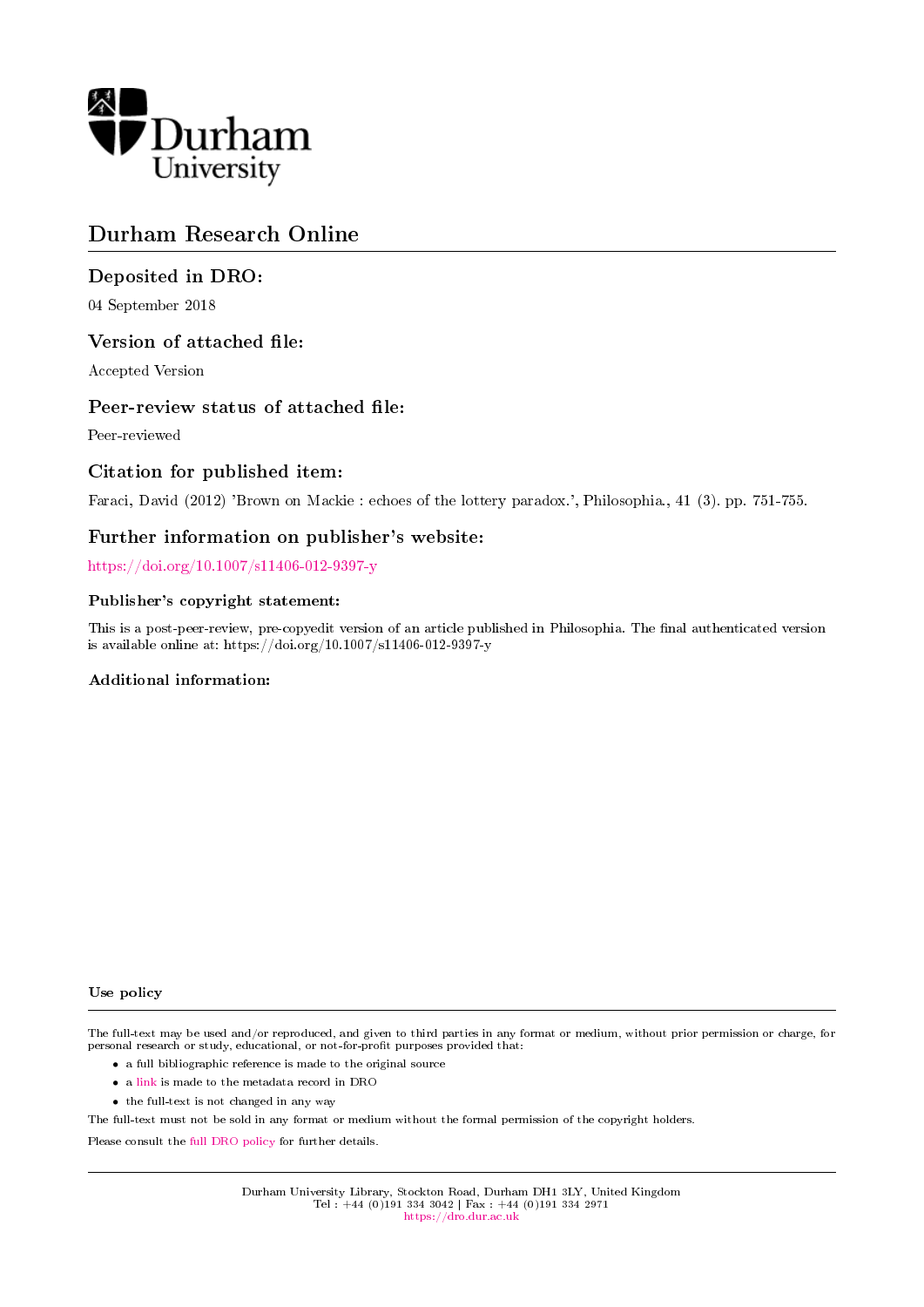

# Durham Research Online

## Deposited in DRO:

04 September 2018

### Version of attached file:

Accepted Version

### Peer-review status of attached file:

Peer-reviewed

### Citation for published item:

Faraci, David (2012) 'Brown on Mackie : echoes of the lottery paradox.', Philosophia., 41 (3). pp. 751-755.

### Further information on publisher's website:

<https://doi.org/10.1007/s11406-012-9397-y>

#### Publisher's copyright statement:

This is a post-peer-review, pre-copyedit version of an article published in Philosophia. The final authenticated version is available online at: https://doi.org/10.1007/s11406-012-9397-y

#### Additional information:

#### Use policy

The full-text may be used and/or reproduced, and given to third parties in any format or medium, without prior permission or charge, for personal research or study, educational, or not-for-profit purposes provided that:

- a full bibliographic reference is made to the original source
- a [link](http://dro.dur.ac.uk/26067/) is made to the metadata record in DRO
- the full-text is not changed in any way

The full-text must not be sold in any format or medium without the formal permission of the copyright holders.

Please consult the [full DRO policy](https://dro.dur.ac.uk/policies/usepolicy.pdf) for further details.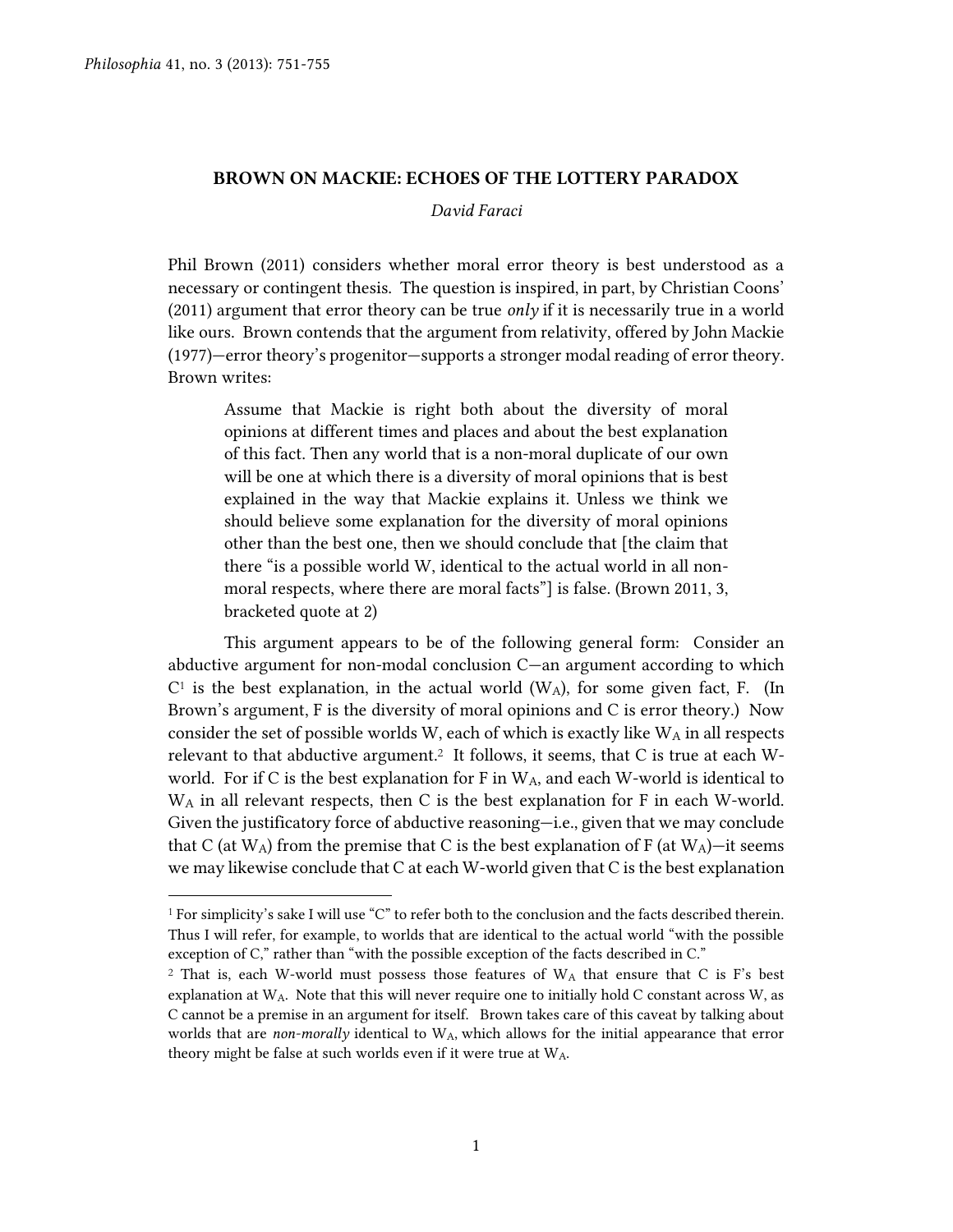$\overline{a}$ 

#### **BROWN ON MACKIE: ECHOES OF THE LOTTERY PARADOX**

#### *David Faraci*

Phil Brown (2011) considers whether moral error theory is best understood as a necessary or contingent thesis. The question is inspired, in part, by Christian Coons' (2011) argument that error theory can be true *only* if it is necessarily true in a world like ours. Brown contends that the argument from relativity, offered by John Mackie (1977)—error theory's progenitor—supports a stronger modal reading of error theory. Brown writes:

Assume that Mackie is right both about the diversity of moral opinions at different times and places and about the best explanation of this fact. Then any world that is a non-moral duplicate of our own will be one at which there is a diversity of moral opinions that is best explained in the way that Mackie explains it. Unless we think we should believe some explanation for the diversity of moral opinions other than the best one, then we should conclude that [the claim that there "is a possible world W, identical to the actual world in all nonmoral respects, where there are moral facts"] is false. (Brown 2011, 3, bracketed quote at 2)

This argument appears to be of the following general form: Consider an abductive argument for non-modal conclusion C—an argument according to which  $C<sup>1</sup>$  is the best explanation, in the actual world (W<sub>A</sub>), for some given fact, F. (In Brown's argument, F is the diversity of moral opinions and C is error theory.) Now consider the set of possible worlds W, each of which is exactly like  $W_A$  in all respects relevant to that abductive argument. <sup>2</sup> It follows, it seems, that C is true at each Wworld. For if C is the best explanation for F in  $W_A$ , and each W-world is identical to W<sup>A</sup> in all relevant respects, then C is the best explanation for F in each W-world. Given the justificatory force of abductive reasoning—i.e., given that we may conclude that C (at  $W_A$ ) from the premise that C is the best explanation of F (at  $W_A$ )—it seems we may likewise conclude that C at each W-world given that C is the best explanation

 $^1$  For simplicity's sake I will use "C" to refer both to the conclusion and the facts described therein. Thus I will refer, for example, to worlds that are identical to the actual world "with the possible exception of C," rather than "with the possible exception of the facts described in C."

<sup>&</sup>lt;sup>2</sup> That is, each W-world must possess those features of  $W_A$  that ensure that C is F's best explanation at  $W_A$ . Note that this will never require one to initially hold C constant across  $W$ , as C cannot be a premise in an argument for itself. Brown takes care of this caveat by talking about worlds that are *non-morally* identical to WA, which allows for the initial appearance that error theory might be false at such worlds even if it were true at WA.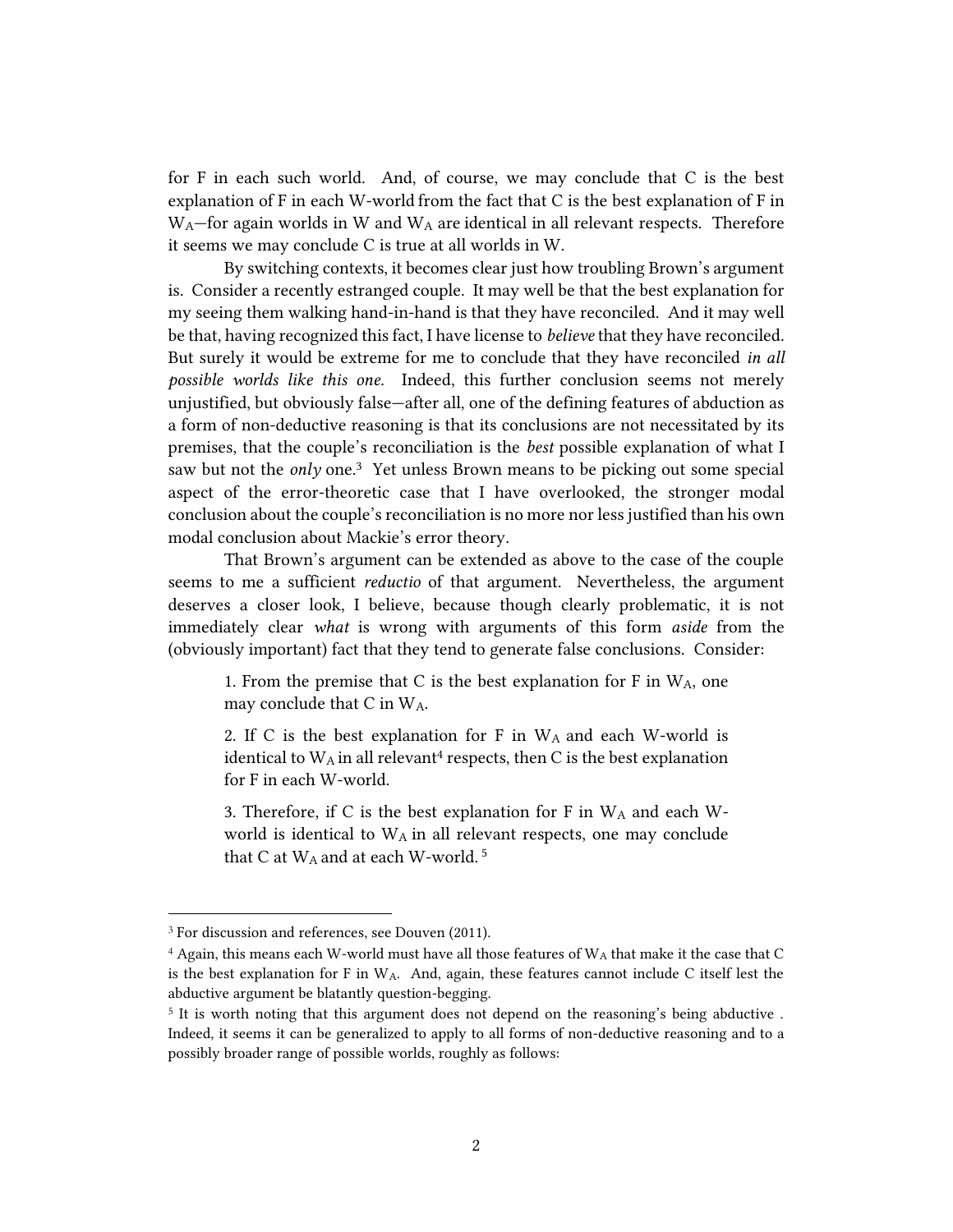for F in each such world. And, of course, we may conclude that C is the best explanation of F in each W-world from the fact that C is the best explanation of F in  $W_A$ —for again worlds in W and  $W_A$  are identical in all relevant respects. Therefore it seems we may conclude C is true at all worlds in W.

By switching contexts, it becomes clear just how troubling Brown's argument is. Consider a recently estranged couple. It may well be that the best explanation for my seeing them walking hand-in-hand is that they have reconciled. And it may well be that, having recognized this fact, I have license to *believe* that they have reconciled. But surely it would be extreme for me to conclude that they have reconciled *in all possible worlds like this one.* Indeed, this further conclusion seems not merely unjustified, but obviously false—after all, one of the defining features of abduction as a form of non-deductive reasoning is that its conclusions are not necessitated by its premises, that the couple's reconciliation is the *best* possible explanation of what I saw but not the *only* one.<sup>3</sup> Yet unless Brown means to be picking out some special aspect of the error-theoretic case that I have overlooked, the stronger modal conclusion about the couple's reconciliation is no more nor less justified than his own modal conclusion about Mackie's error theory.

That Brown's argument can be extended as above to the case of the couple seems to me a sufficient *reductio* of that argument. Nevertheless, the argument deserves a closer look, I believe, because though clearly problematic, it is not immediately clear *what* is wrong with arguments of this form *aside* from the (obviously important) fact that they tend to generate false conclusions. Consider:

1. From the premise that C is the best explanation for F in  $W_A$ , one may conclude that C in WA.

2. If C is the best explanation for F in WA and each W-world is identical to  $W_A$  in all relevant<sup>4</sup> respects, then C is the best explanation for F in each W-world.

3. Therefore, if C is the best explanation for F in W<sup>A</sup> and each Wworld is identical to  $W_A$  in all relevant respects, one may conclude that C at  $W_A$  and at each W-world.<sup>5</sup>

 $\overline{a}$ 

<sup>&</sup>lt;sup>3</sup> For discussion and references, see Douven (2011).

 $4$  Again, this means each W-world must have all those features of  $W_A$  that make it the case that C is the best explanation for F in W<sub>A</sub>. And, again, these features cannot include C itself lest the abductive argument be blatantly question-begging.

<sup>&</sup>lt;sup>5</sup> It is worth noting that this argument does not depend on the reasoning's being abductive. Indeed, it seems it can be generalized to apply to all forms of non-deductive reasoning and to a possibly broader range of possible worlds, roughly as follows: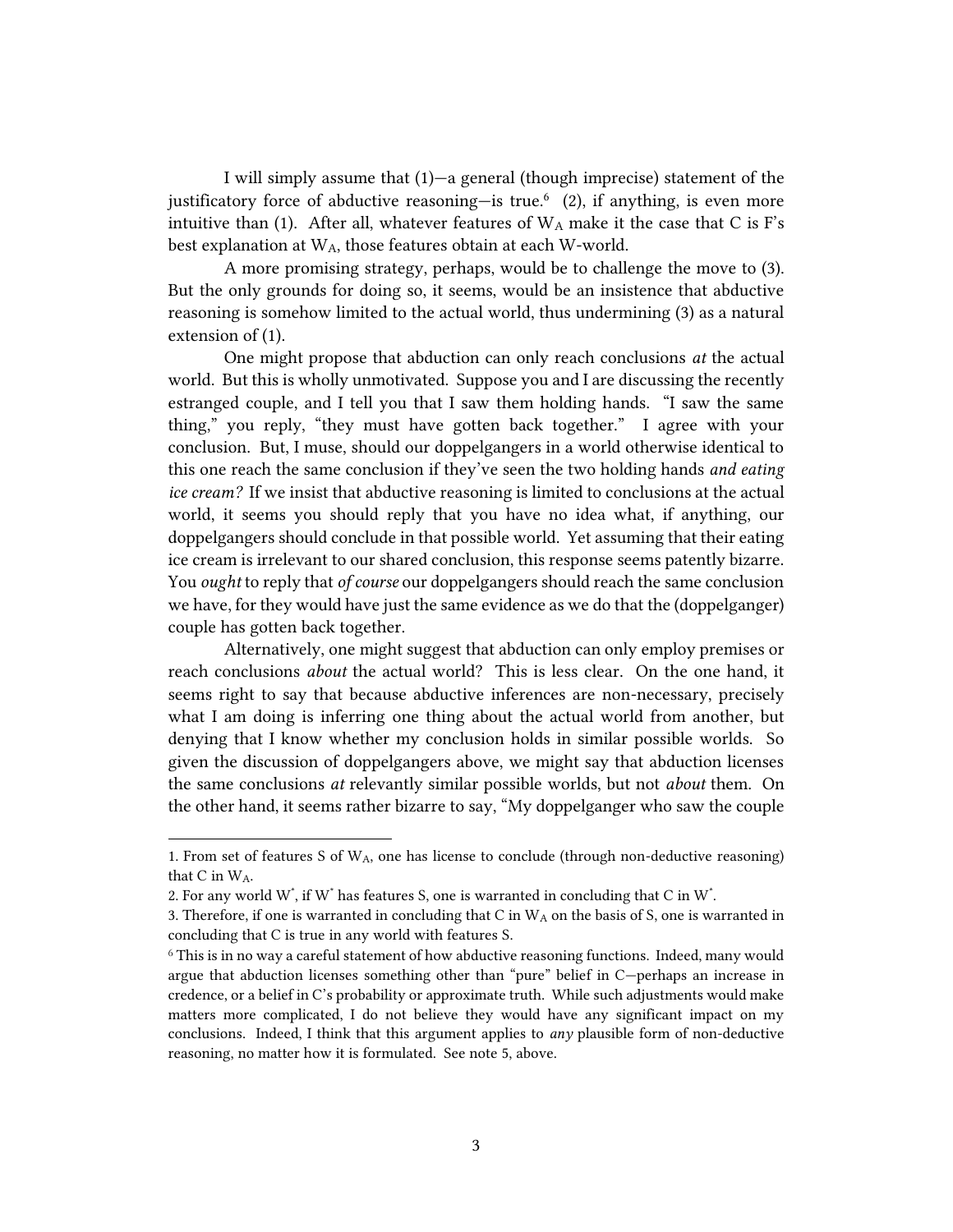I will simply assume that (1)—a general (though imprecise) statement of the justificatory force of abductive reasoning-is true.<sup>6</sup> (2), if anything, is even more intuitive than (1). After all, whatever features of  $W_A$  make it the case that C is F's best explanation at WA, those features obtain at each W-world.

A more promising strategy, perhaps, would be to challenge the move to (3). But the only grounds for doing so, it seems, would be an insistence that abductive reasoning is somehow limited to the actual world, thus undermining (3) as a natural extension of (1).

One might propose that abduction can only reach conclusions *at* the actual world. But this is wholly unmotivated. Suppose you and I are discussing the recently estranged couple, and I tell you that I saw them holding hands. "I saw the same thing," you reply, "they must have gotten back together." I agree with your conclusion. But, I muse, should our doppelgangers in a world otherwise identical to this one reach the same conclusion if they've seen the two holding hands *and eating ice cream?* If we insist that abductive reasoning is limited to conclusions at the actual world, it seems you should reply that you have no idea what, if anything, our doppelgangers should conclude in that possible world. Yet assuming that their eating ice cream is irrelevant to our shared conclusion, this response seems patently bizarre. You *ought* to reply that *of course* our doppelgangers should reach the same conclusion we have, for they would have just the same evidence as we do that the (doppelganger) couple has gotten back together.

Alternatively, one might suggest that abduction can only employ premises or reach conclusions *about* the actual world? This is less clear. On the one hand, it seems right to say that because abductive inferences are non-necessary, precisely what I am doing is inferring one thing about the actual world from another, but denying that I know whether my conclusion holds in similar possible worlds. So given the discussion of doppelgangers above, we might say that abduction licenses the same conclusions *at* relevantly similar possible worlds, but not *about* them. On the other hand, it seems rather bizarre to say, "My doppelganger who saw the couple

 $\overline{a}$ 

<sup>1.</sup> From set of features S of  $W_A$ , one has license to conclude (through non-deductive reasoning) that C in WA.

<sup>2.</sup> For any world  $W^*$ , if  $W^*$  has features S, one is warranted in concluding that C in  $W^*$ .

<sup>3.</sup> Therefore, if one is warranted in concluding that C in  $W_A$  on the basis of S, one is warranted in concluding that C is true in any world with features S.

<sup>6</sup> This is in no way a careful statement of how abductive reasoning functions. Indeed, many would argue that abduction licenses something other than "pure" belief in C—perhaps an increase in credence, or a belief in C's probability or approximate truth. While such adjustments would make matters more complicated, I do not believe they would have any significant impact on my conclusions. Indeed, I think that this argument applies to *any* plausible form of non-deductive reasoning, no matter how it is formulated. See note 5, above.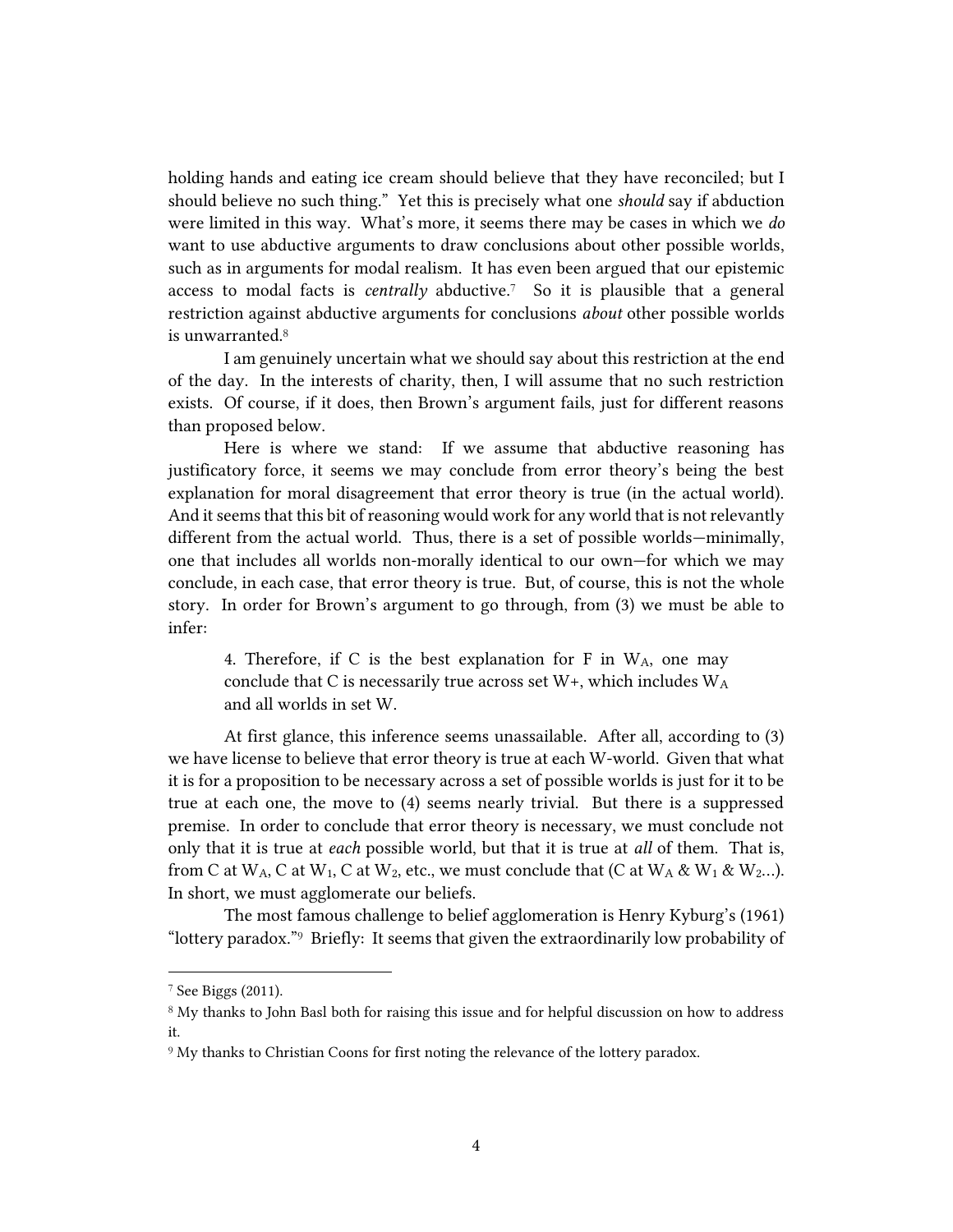holding hands and eating ice cream should believe that they have reconciled; but I should believe no such thing." Yet this is precisely what one *should* say if abduction were limited in this way. What's more, it seems there may be cases in which we *do*  want to use abductive arguments to draw conclusions about other possible worlds, such as in arguments for modal realism. It has even been argued that our epistemic access to modal facts is *centrally* abductive.7 So it is plausible that a general restriction against abductive arguments for conclusions *about* other possible worlds is unwarranted.<sup>8</sup>

I am genuinely uncertain what we should say about this restriction at the end of the day. In the interests of charity, then, I will assume that no such restriction exists. Of course, if it does, then Brown's argument fails, just for different reasons than proposed below.

Here is where we stand: If we assume that abductive reasoning has justificatory force, it seems we may conclude from error theory's being the best explanation for moral disagreement that error theory is true (in the actual world). And it seems that this bit of reasoning would work for any world that is not relevantly different from the actual world. Thus, there is a set of possible worlds—minimally, one that includes all worlds non-morally identical to our own—for which we may conclude, in each case, that error theory is true. But, of course, this is not the whole story. In order for Brown's argument to go through, from (3) we must be able to infer:

4. Therefore, if C is the best explanation for F in  $W_A$ , one may conclude that C is necessarily true across set  $W_{+}$ , which includes  $W_{A}$ and all worlds in set W.

At first glance, this inference seems unassailable. After all, according to (3) we have license to believe that error theory is true at each W-world. Given that what it is for a proposition to be necessary across a set of possible worlds is just for it to be true at each one, the move to (4) seems nearly trivial. But there is a suppressed premise. In order to conclude that error theory is necessary, we must conclude not only that it is true at *each* possible world, but that it is true at *all* of them. That is, from C at  $W_A$ , C at  $W_1$ , C at  $W_2$ , etc., we must conclude that (C at  $W_A \& W_1 \& W_2...$ ). In short, we must agglomerate our beliefs.

The most famous challenge to belief agglomeration is Henry Kyburg's (1961) "lottery paradox."9 Briefly: It seems that given the extraordinarily low probability of

 $\overline{a}$ 

<sup>7</sup> See Biggs (2011).

<sup>8</sup> My thanks to John Basl both for raising this issue and for helpful discussion on how to address it.

<sup>&</sup>lt;sup>9</sup> My thanks to Christian Coons for first noting the relevance of the lottery paradox.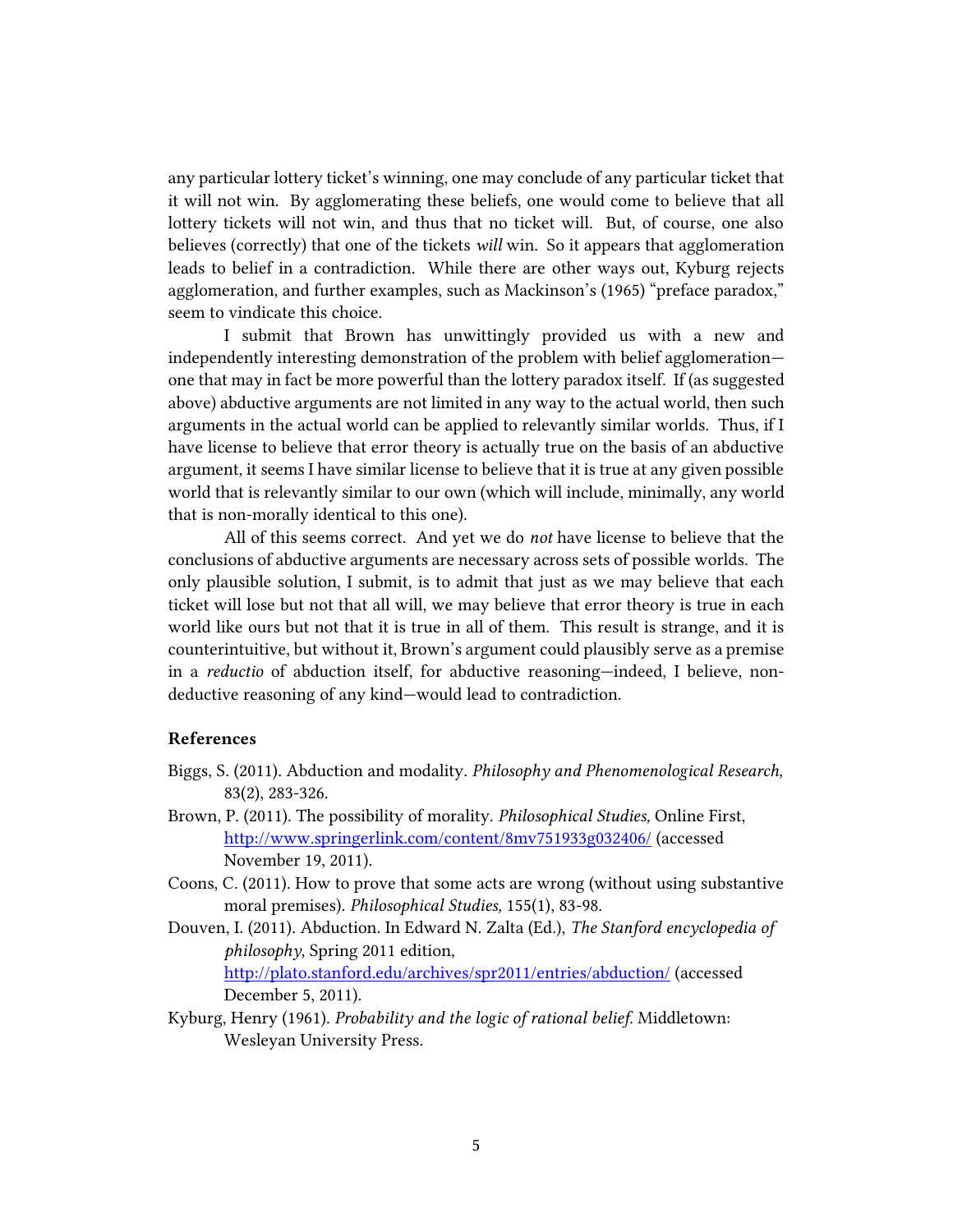any particular lottery ticket's winning, one may conclude of any particular ticket that it will not win. By agglomerating these beliefs, one would come to believe that all lottery tickets will not win, and thus that no ticket will. But, of course, one also believes (correctly) that one of the tickets *will* win. So it appears that agglomeration leads to belief in a contradiction. While there are other ways out, Kyburg rejects agglomeration, and further examples, such as Mackinson's (1965) "preface paradox," seem to vindicate this choice.

I submit that Brown has unwittingly provided us with a new and independently interesting demonstration of the problem with belief agglomeration one that may in fact be more powerful than the lottery paradox itself. If (as suggested above) abductive arguments are not limited in any way to the actual world, then such arguments in the actual world can be applied to relevantly similar worlds. Thus, if I have license to believe that error theory is actually true on the basis of an abductive argument, it seems I have similar license to believe that it is true at any given possible world that is relevantly similar to our own (which will include, minimally, any world that is non-morally identical to this one).

All of this seems correct. And yet we do *not* have license to believe that the conclusions of abductive arguments are necessary across sets of possible worlds. The only plausible solution, I submit, is to admit that just as we may believe that each ticket will lose but not that all will, we may believe that error theory is true in each world like ours but not that it is true in all of them. This result is strange, and it is counterintuitive, but without it, Brown's argument could plausibly serve as a premise in a *reductio* of abduction itself, for abductive reasoning—indeed, I believe, nondeductive reasoning of any kind—would lead to contradiction.

### **References**

- Biggs, S. (2011). Abduction and modality. *Philosophy and Phenomenological Research,*  83(2), 283-326.
- Brown, P. (2011). The possibility of morality. *Philosophical Studies,* Online First, <http://www.springerlink.com/content/8mv751933g032406/> (accessed November 19, 2011).
- Coons, C. (2011). How to prove that some acts are wrong (without using substantive moral premises). *Philosophical Studies,* 155(1), 83-98.
- Douven, I. (2011). Abduction. In Edward N. Zalta (Ed.), *The Stanford encyclopedia of philosophy,* Spring 2011 edition, <http://plato.stanford.edu/archives/spr2011/entries/abduction/> (accessed December 5, 2011).
- Kyburg, Henry (1961). *Probability and the logic of rational belief.* Middletown: Wesleyan University Press.